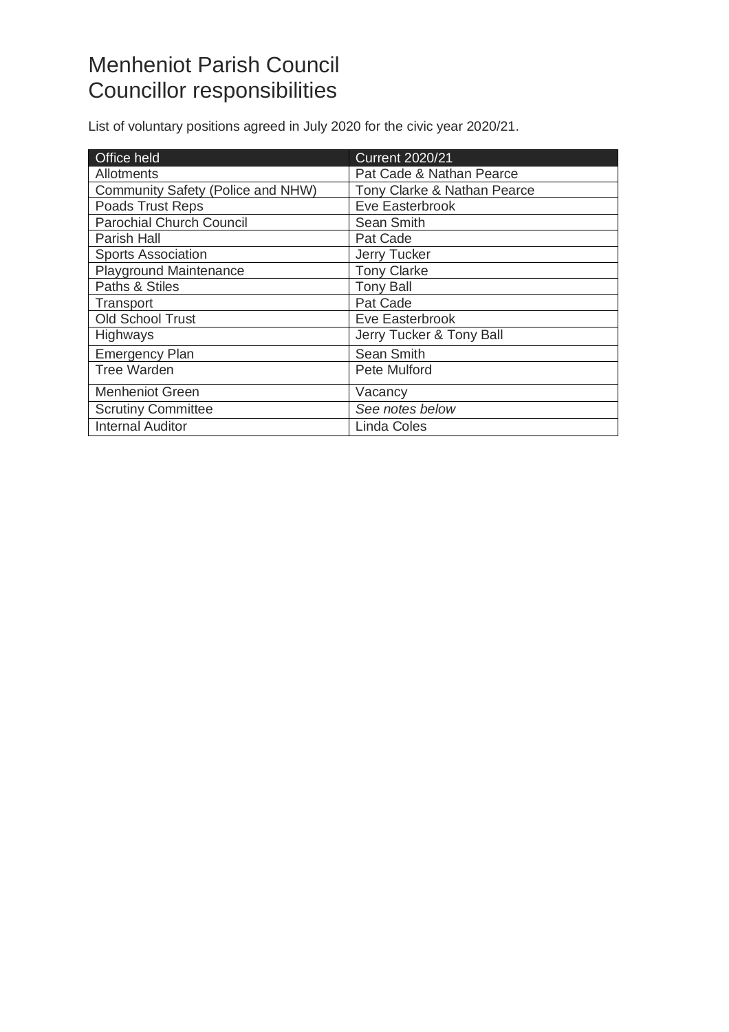## Menheniot Parish Council Councillor responsibilities

List of voluntary positions agreed in July 2020 for the civic year 2020/21.

| Office held                       | <b>Current 2020/21</b>      |
|-----------------------------------|-----------------------------|
| <b>Allotments</b>                 | Pat Cade & Nathan Pearce    |
| Community Safety (Police and NHW) | Tony Clarke & Nathan Pearce |
| Poads Trust Reps                  | Eve Easterbrook             |
| <b>Parochial Church Council</b>   | Sean Smith                  |
| Parish Hall                       | Pat Cade                    |
| <b>Sports Association</b>         | Jerry Tucker                |
| <b>Playground Maintenance</b>     | <b>Tony Clarke</b>          |
| Paths & Stiles                    | <b>Tony Ball</b>            |
| Transport                         | Pat Cade                    |
| <b>Old School Trust</b>           | Eve Easterbrook             |
| <b>Highways</b>                   | Jerry Tucker & Tony Ball    |
| <b>Emergency Plan</b>             | Sean Smith                  |
| Tree Warden                       | Pete Mulford                |
| <b>Menheniot Green</b>            | Vacancy                     |
| <b>Scrutiny Committee</b>         | See notes below             |
| <b>Internal Auditor</b>           | <b>Linda Coles</b>          |